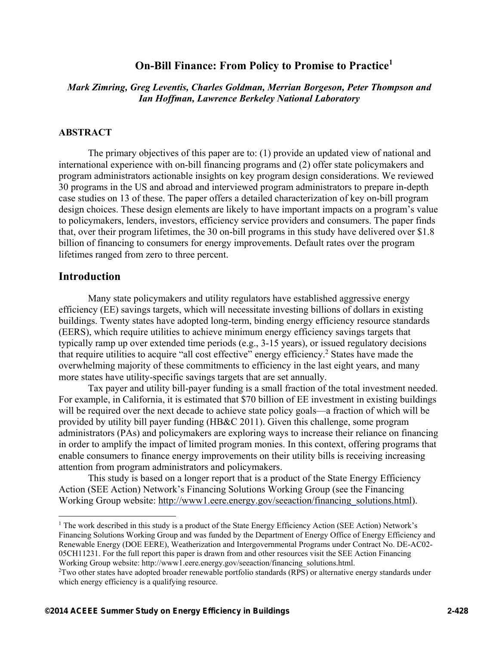## **On-Bill Finance: From Policy to Promise to Practice<sup>1</sup>**

### *Mark Zimring, Greg Leventis, Charles Goldman, Merrian Borgeson, Peter Thompson and Ian Hoffman, Lawrence Berkeley National Laboratory*

#### **ABSTRACT**

The primary objectives of this paper are to: (1) provide an updated view of national and international experience with on-bill financing programs and (2) offer state policymakers and program administrators actionable insights on key program design considerations. We reviewed 30 programs in the US and abroad and interviewed program administrators to prepare in-depth case studies on 13 of these. The paper offers a detailed characterization of key on-bill program design choices. These design elements are likely to have important impacts on a program's value to policymakers, lenders, investors, efficiency service providers and consumers. The paper finds that, over their program lifetimes, the 30 on-bill programs in this study have delivered over \$1.8 billion of financing to consumers for energy improvements. Default rates over the program lifetimes ranged from zero to three percent.

### **Introduction**

 $\overline{a}$ 

Many state policymakers and utility regulators have established aggressive energy efficiency (EE) savings targets, which will necessitate investing billions of dollars in existing buildings. Twenty states have adopted long-term, binding energy efficiency resource standards (EERS), which require utilities to achieve minimum energy efficiency savings targets that typically ramp up over extended time periods (e.g., 3-15 years), or issued regulatory decisions that require utilities to acquire "all cost effective" energy efficiency.<sup>2</sup> States have made the overwhelming majority of these commitments to efficiency in the last eight years, and many more states have utility-specific savings targets that are set annually.

Tax payer and utility bill-payer funding is a small fraction of the total investment needed. For example, in California, it is estimated that \$70 billion of EE investment in existing buildings will be required over the next decade to achieve state policy goals—a fraction of which will be provided by utility bill payer funding (HB&C 2011). Given this challenge, some program administrators (PAs) and policymakers are exploring ways to increase their reliance on financing in order to amplify the impact of limited program monies. In this context, offering programs that enable consumers to finance energy improvements on their utility bills is receiving increasing attention from program administrators and policymakers.

This study is based on a longer report that is a product of the State Energy Efficiency Action (SEE Action) Network's Financing Solutions Working Group (see the Financing Working Group website: http://www1.eere.energy.gov/seeaction/financing\_solutions.html).

<sup>&</sup>lt;sup>1</sup> The work described in this study is a product of the State Energy Efficiency Action (SEE Action) Network's Financing Solutions Working Group and was funded by the Department of Energy Office of Energy Efficiency and Renewable Energy (DOE EERE), Weatherization and Intergovernmental Programs under Contract No. DE-AC02- 05CH11231. For the full report this paper is drawn from and other resources visit the SEE Action Financing Working Group website: http://www1.eere.energy.gov/seeaction/financing\_solutions.html.

<sup>2</sup> Two other states have adopted broader renewable portfolio standards (RPS) or alternative energy standards under which energy efficiency is a qualifying resource.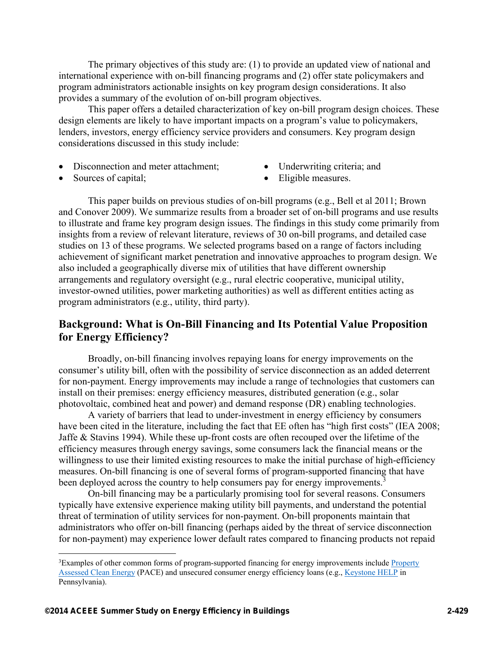The primary objectives of this study are: (1) to provide an updated view of national and international experience with on-bill financing programs and (2) offer state policymakers and program administrators actionable insights on key program design considerations. It also provides a summary of the evolution of on-bill program objectives.

This paper offers a detailed characterization of key on-bill program design choices. These design elements are likely to have important impacts on a program's value to policymakers, lenders, investors, energy efficiency service providers and consumers. Key program design considerations discussed in this study include:

- Disconnection and meter attachment;
- Underwriting criteria; and

• Sources of capital;

1

• Eligible measures.

This paper builds on previous studies of on-bill programs (e.g., Bell et al 2011; Brown and Conover 2009). We summarize results from a broader set of on-bill programs and use results to illustrate and frame key program design issues. The findings in this study come primarily from insights from a review of relevant literature, reviews of 30 on-bill programs, and detailed case studies on 13 of these programs. We selected programs based on a range of factors including achievement of significant market penetration and innovative approaches to program design. We also included a geographically diverse mix of utilities that have different ownership arrangements and regulatory oversight (e.g., rural electric cooperative, municipal utility, investor-owned utilities, power marketing authorities) as well as different entities acting as program administrators (e.g., utility, third party).

# **Background: What is On-Bill Financing and Its Potential Value Proposition for Energy Efficiency?**

Broadly, on-bill financing involves repaying loans for energy improvements on the consumer's utility bill, often with the possibility of service disconnection as an added deterrent for non-payment. Energy improvements may include a range of technologies that customers can install on their premises: energy efficiency measures, distributed generation (e.g., solar photovoltaic, combined heat and power) and demand response (DR) enabling technologies.

A variety of barriers that lead to under-investment in energy efficiency by consumers have been cited in the literature, including the fact that EE often has "high first costs" (IEA 2008; Jaffe & Stavins 1994). While these up-front costs are often recouped over the lifetime of the efficiency measures through energy savings, some consumers lack the financial means or the willingness to use their limited existing resources to make the initial purchase of high-efficiency measures. On-bill financing is one of several forms of program-supported financing that have been deployed across the country to help consumers pay for energy improvements.<sup>3</sup>

On-bill financing may be a particularly promising tool for several reasons. Consumers typically have extensive experience making utility bill payments, and understand the potential threat of termination of utility services for non-payment. On-bill proponents maintain that administrators who offer on-bill financing (perhaps aided by the threat of service disconnection for non-payment) may experience lower default rates compared to financing products not repaid

<sup>&</sup>lt;sup>3</sup>Examples of other common forms of program-supported financing for energy improvements include **Property** Assessed Clean Energy (PACE) and unsecured consumer energy efficiency loans (e.g., Keystone HELP in Pennsylvania).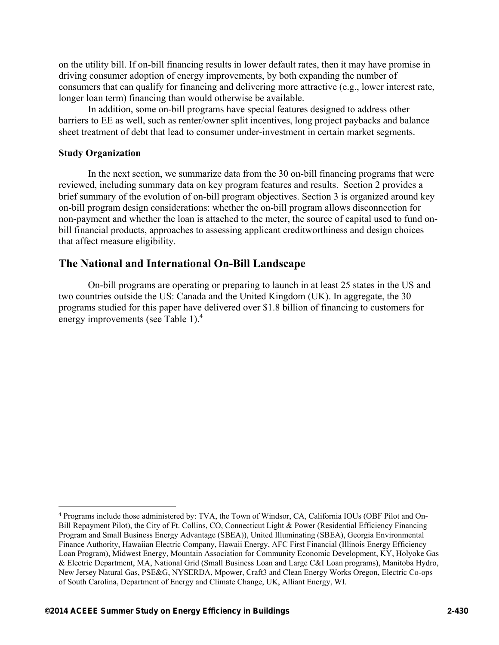on the utility bill. If on-bill financing results in lower default rates, then it may have promise in driving consumer adoption of energy improvements, by both expanding the number of consumers that can qualify for financing and delivering more attractive (e.g., lower interest rate, longer loan term) financing than would otherwise be available.

In addition, some on-bill programs have special features designed to address other barriers to EE as well, such as renter/owner split incentives, long project paybacks and balance sheet treatment of debt that lead to consumer under-investment in certain market segments.

#### **Study Organization**

1

In the next section, we summarize data from the 30 on-bill financing programs that were reviewed, including summary data on key program features and results. Section 2 provides a brief summary of the evolution of on-bill program objectives. Section 3 is organized around key on-bill program design considerations: whether the on-bill program allows disconnection for non-payment and whether the loan is attached to the meter, the source of capital used to fund onbill financial products, approaches to assessing applicant creditworthiness and design choices that affect measure eligibility.

## **The National and International On-Bill Landscape**

On-bill programs are operating or preparing to launch in at least 25 states in the US and two countries outside the US: Canada and the United Kingdom (UK). In aggregate, the 30 programs studied for this paper have delivered over \$1.8 billion of financing to customers for energy improvements (see Table 1).<sup>4</sup>

<sup>4</sup> Programs include those administered by: TVA, the Town of Windsor, CA, California IOUs (OBF Pilot and On-Bill Repayment Pilot), the City of Ft. Collins, CO, Connecticut Light & Power (Residential Efficiency Financing Program and Small Business Energy Advantage (SBEA)), United Illuminating (SBEA), Georgia Environmental Finance Authority, Hawaiian Electric Company, Hawaii Energy, AFC First Financial (Illinois Energy Efficiency Loan Program), Midwest Energy, Mountain Association for Community Economic Development, KY, Holyoke Gas & Electric Department, MA, National Grid (Small Business Loan and Large C&I Loan programs), Manitoba Hydro, New Jersey Natural Gas, PSE&G, NYSERDA, Mpower, Craft3 and Clean Energy Works Oregon, Electric Co-ops of South Carolina, Department of Energy and Climate Change, UK, Alliant Energy, WI.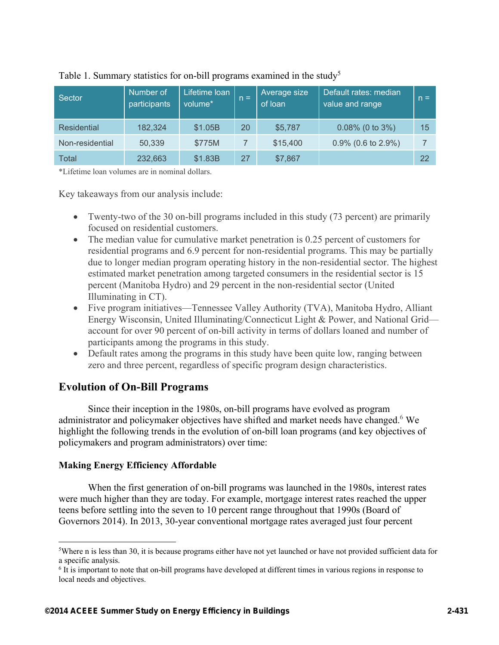| Sector             | Number of<br>participants | Lifetime loan<br>volume* | $n =$ | Average size<br>of loan | Default rates: median<br>value and range | $n =$ |
|--------------------|---------------------------|--------------------------|-------|-------------------------|------------------------------------------|-------|
| <b>Residential</b> | 182,324                   | \$1.05B                  | 20    | \$5,787                 | $0.08\%$ (0 to 3%)                       | 15    |
| Non-residential    | 50,339                    | \$775M                   |       | \$15,400                | $0.9\%$ (0.6 to 2.9%)                    |       |
| Total              | 232,663                   | \$1.83B                  | 27    | \$7,867                 |                                          | 22    |

### Table 1. Summary statistics for on-bill programs examined in the study<sup>5</sup>

\*Lifetime loan volumes are in nominal dollars.

Key takeaways from our analysis include:

- Twenty-two of the 30 on-bill programs included in this study (73 percent) are primarily focused on residential customers.
- The median value for cumulative market penetration is 0.25 percent of customers for residential programs and 6.9 percent for non-residential programs. This may be partially due to longer median program operating history in the non-residential sector. The highest estimated market penetration among targeted consumers in the residential sector is 15 percent (Manitoba Hydro) and 29 percent in the non-residential sector (United Illuminating in CT).
- Five program initiatives—Tennessee Valley Authority (TVA), Manitoba Hydro, Alliant Energy Wisconsin, United Illuminating/Connecticut Light & Power, and National Grid account for over 90 percent of on-bill activity in terms of dollars loaned and number of participants among the programs in this study.
- Default rates among the programs in this study have been quite low, ranging between zero and three percent, regardless of specific program design characteristics.

## **Evolution of On-Bill Programs**

Since their inception in the 1980s, on-bill programs have evolved as program administrator and policymaker objectives have shifted and market needs have changed.<sup>6</sup> We highlight the following trends in the evolution of on-bill loan programs (and key objectives of policymakers and program administrators) over time:

### **Making Energy Efficiency Affordable**

<u>.</u>

When the first generation of on-bill programs was launched in the 1980s, interest rates were much higher than they are today. For example, mortgage interest rates reached the upper teens before settling into the seven to 10 percent range throughout that 1990s (Board of Governors 2014). In 2013, 30-year conventional mortgage rates averaged just four percent

<sup>5</sup> Where n is less than 30, it is because programs either have not yet launched or have not provided sufficient data for a specific analysis.

<sup>6</sup> It is important to note that on-bill programs have developed at different times in various regions in response to local needs and objectives.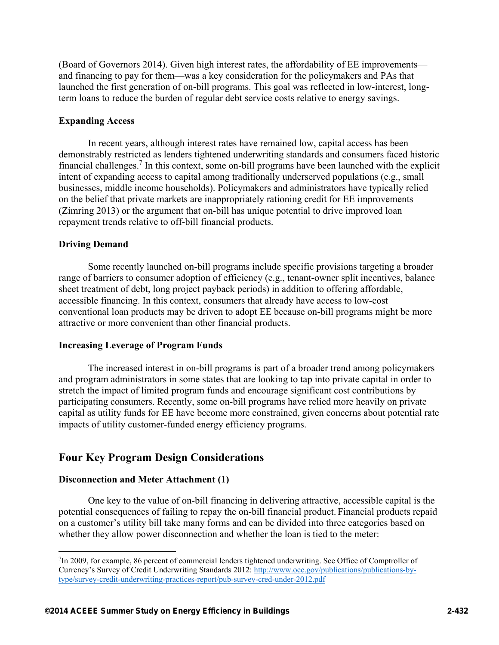(Board of Governors 2014). Given high interest rates, the affordability of EE improvements and financing to pay for them—was a key consideration for the policymakers and PAs that launched the first generation of on-bill programs. This goal was reflected in low-interest, longterm loans to reduce the burden of regular debt service costs relative to energy savings.

### **Expanding Access**

In recent years, although interest rates have remained low, capital access has been demonstrably restricted as lenders tightened underwriting standards and consumers faced historic financial challenges.<sup>7</sup> In this context, some on-bill programs have been launched with the explicit intent of expanding access to capital among traditionally underserved populations (e.g., small businesses, middle income households). Policymakers and administrators have typically relied on the belief that private markets are inappropriately rationing credit for EE improvements (Zimring 2013) or the argument that on-bill has unique potential to drive improved loan repayment trends relative to off-bill financial products.

### **Driving Demand**

 $\overline{a}$ 

Some recently launched on-bill programs include specific provisions targeting a broader range of barriers to consumer adoption of efficiency (e.g., tenant-owner split incentives, balance sheet treatment of debt, long project payback periods) in addition to offering affordable, accessible financing. In this context, consumers that already have access to low-cost conventional loan products may be driven to adopt EE because on-bill programs might be more attractive or more convenient than other financial products.

### **Increasing Leverage of Program Funds**

The increased interest in on-bill programs is part of a broader trend among policymakers and program administrators in some states that are looking to tap into private capital in order to stretch the impact of limited program funds and encourage significant cost contributions by participating consumers. Recently, some on-bill programs have relied more heavily on private capital as utility funds for EE have become more constrained, given concerns about potential rate impacts of utility customer-funded energy efficiency programs.

## **Four Key Program Design Considerations**

### **Disconnection and Meter Attachment (1)**

One key to the value of on-bill financing in delivering attractive, accessible capital is the potential consequences of failing to repay the on-bill financial product. Financial products repaid on a customer's utility bill take many forms and can be divided into three categories based on whether they allow power disconnection and whether the loan is tied to the meter:

<sup>7</sup> In 2009, for example, 86 percent of commercial lenders tightened underwriting. See Office of Comptroller of Currency's Survey of Credit Underwriting Standards 2012: http://www.occ.gov/publications/publications-bytype/survey-credit-underwriting-practices-report/pub-survey-cred-under-2012.pdf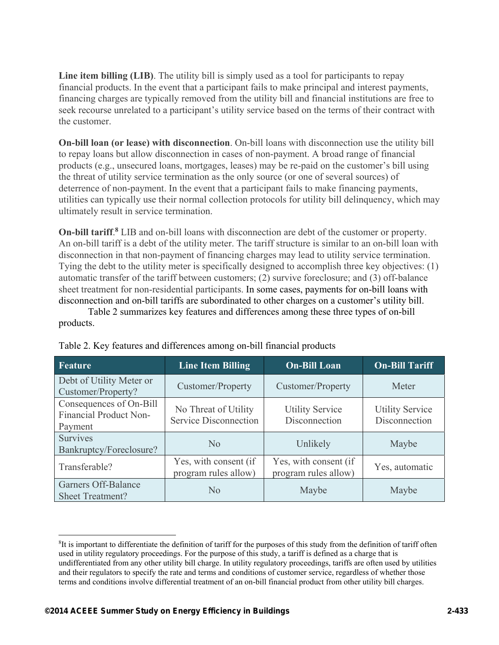**Line item billing (LIB)**. The utility bill is simply used as a tool for participants to repay financial products. In the event that a participant fails to make principal and interest payments, financing charges are typically removed from the utility bill and financial institutions are free to seek recourse unrelated to a participant's utility service based on the terms of their contract with the customer.

**On-bill loan (or lease) with disconnection**. On-bill loans with disconnection use the utility bill to repay loans but allow disconnection in cases of non-payment. A broad range of financial products (e.g., unsecured loans, mortgages, leases) may be re-paid on the customer's bill using the threat of utility service termination as the only source (or one of several sources) of deterrence of non-payment. In the event that a participant fails to make financing payments, utilities can typically use their normal collection protocols for utility bill delinquency, which may ultimately result in service termination.

**On-bill tariff.**<sup>8</sup> LIB and on-bill loans with disconnection are debt of the customer or property. An on-bill tariff is a debt of the utility meter. The tariff structure is similar to an on-bill loan with disconnection in that non-payment of financing charges may lead to utility service termination. Tying the debt to the utility meter is specifically designed to accomplish three key objectives: (1) automatic transfer of the tariff between customers; (2) survive foreclosure; and (3) off-balance sheet treatment for non-residential participants. In some cases, payments for on-bill loans with disconnection and on-bill tariffs are subordinated to other charges on a customer's utility bill.

Table 2 summarizes key features and differences among these three types of on-bill products.

| <b>Feature</b>                                                      | <b>Line Item Billing</b>                             | <b>On-Bill Loan</b>                           | <b>On-Bill Tariff</b>                   |  |
|---------------------------------------------------------------------|------------------------------------------------------|-----------------------------------------------|-----------------------------------------|--|
| Debt of Utility Meter or<br>Customer/Property?                      | Customer/Property                                    | Customer/Property                             | Meter                                   |  |
| Consequences of On-Bill<br><b>Financial Product Non-</b><br>Payment | No Threat of Utility<br><b>Service Disconnection</b> | <b>Utility Service</b><br>Disconnection       | <b>Utility Service</b><br>Disconnection |  |
| <b>Survives</b><br>Bankruptcy/Foreclosure?                          | No                                                   | Unlikely                                      | Maybe                                   |  |
| Transferable?                                                       | Yes, with consent (if<br>program rules allow)        | Yes, with consent (if<br>program rules allow) | Yes, automatic                          |  |
| Garners Off-Balance<br><b>Sheet Treatment?</b>                      | No                                                   | Maybe                                         | Maybe                                   |  |

|  | Table 2. Key features and differences among on-bill financial products |  |
|--|------------------------------------------------------------------------|--|
|  |                                                                        |  |
|  |                                                                        |  |

 $\overline{a}$ 

<sup>&</sup>lt;sup>8</sup>It is important to differentiate the definition of tariff for the purposes of this study from the definition of tariff often used in utility regulatory proceedings. For the purpose of this study, a tariff is defined as a charge that is undifferentiated from any other utility bill charge. In utility regulatory proceedings, tariffs are often used by utilities and their regulators to specify the rate and terms and conditions of customer service, regardless of whether those terms and conditions involve differential treatment of an on-bill financial product from other utility bill charges.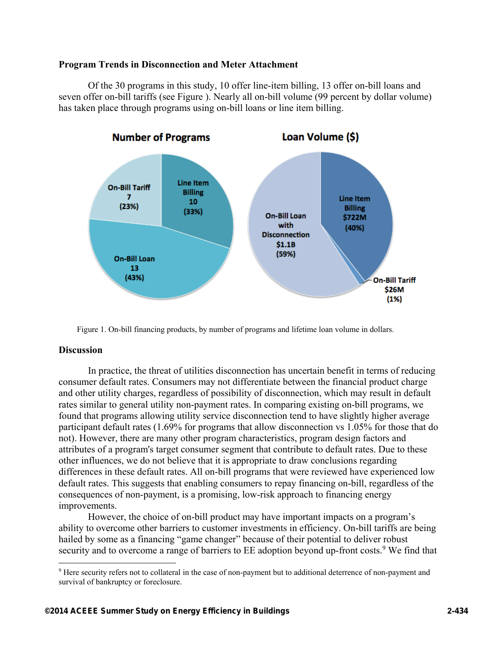#### **Program Trends in Disconnection and Meter Attachment**

Of the 30 programs in this study, 10 offer line-item billing, 13 offer on-bill loans and seven offer on-bill tariffs (see Figure ). Nearly all on-bill volume (99 percent by dollar volume) has taken place through programs using on-bill loans or line item billing.



Figure 1. On-bill financing products, by number of programs and lifetime loan volume in dollars.

### **Discussion**

1

In practice, the threat of utilities disconnection has uncertain benefit in terms of reducing consumer default rates. Consumers may not differentiate between the financial product charge and other utility charges, regardless of possibility of disconnection, which may result in default rates similar to general utility non-payment rates. In comparing existing on-bill programs, we found that programs allowing utility service disconnection tend to have slightly higher average participant default rates (1.69% for programs that allow disconnection vs 1.05% for those that do not). However, there are many other program characteristics, program design factors and attributes of a program's target consumer segment that contribute to default rates. Due to these other influences, we do not believe that it is appropriate to draw conclusions regarding differences in these default rates. All on-bill programs that were reviewed have experienced low default rates. This suggests that enabling consumers to repay financing on-bill, regardless of the consequences of non-payment, is a promising, low-risk approach to financing energy improvements.

However, the choice of on-bill product may have important impacts on a program's ability to overcome other barriers to customer investments in efficiency. On-bill tariffs are being hailed by some as a financing "game changer" because of their potential to deliver robust security and to overcome a range of barriers to EE adoption beyond up-front costs.<sup>9</sup> We find that

<sup>9</sup> Here security refers not to collateral in the case of non-payment but to additional deterrence of non-payment and survival of bankruptcy or foreclosure.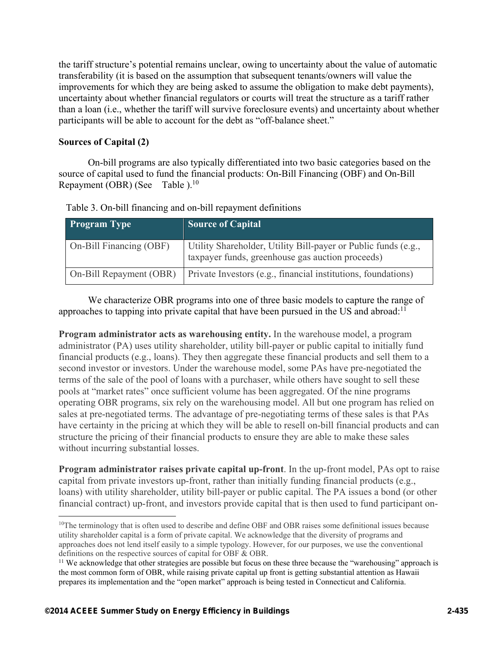the tariff structure's potential remains unclear, owing to uncertainty about the value of automatic transferability (it is based on the assumption that subsequent tenants/owners will value the improvements for which they are being asked to assume the obligation to make debt payments), uncertainty about whether financial regulators or courts will treat the structure as a tariff rather than a loan (i.e., whether the tariff will survive foreclosure events) and uncertainty about whether participants will be able to account for the debt as "off-balance sheet."

#### **Sources of Capital (2)**

<u>.</u>

On-bill programs are also typically differentiated into two basic categories based on the source of capital used to fund the financial products: On-Bill Financing (OBF) and On-Bill Repayment (OBR) (See Table ).10

| <b>Program Type</b>     | <b>Source of Capital</b>                                                                                        |
|-------------------------|-----------------------------------------------------------------------------------------------------------------|
| On-Bill Financing (OBF) | Utility Shareholder, Utility Bill-payer or Public funds (e.g., taxpayer funds, greenhouse gas auction proceeds) |
|                         | On-Bill Repayment (OBR) Private Investors (e.g., financial institutions, foundations)                           |

Table 3. On-bill financing and on-bill repayment definitions

We characterize OBR programs into one of three basic models to capture the range of approaches to tapping into private capital that have been pursued in the US and abroad:<sup>11</sup>

**Program administrator acts as warehousing entity.** In the warehouse model, a program administrator (PA) uses utility shareholder, utility bill-payer or public capital to initially fund financial products (e.g., loans). They then aggregate these financial products and sell them to a second investor or investors. Under the warehouse model, some PAs have pre-negotiated the terms of the sale of the pool of loans with a purchaser, while others have sought to sell these pools at "market rates" once sufficient volume has been aggregated. Of the nine programs operating OBR programs, six rely on the warehousing model. All but one program has relied on sales at pre-negotiated terms. The advantage of pre-negotiating terms of these sales is that PAs have certainty in the pricing at which they will be able to resell on-bill financial products and can structure the pricing of their financial products to ensure they are able to make these sales without incurring substantial losses.

**Program administrator raises private capital up-front**. In the up-front model, PAs opt to raise capital from private investors up-front, rather than initially funding financial products (e.g., loans) with utility shareholder, utility bill-payer or public capital. The PA issues a bond (or other financial contract) up-front, and investors provide capital that is then used to fund participant on-

<sup>&</sup>lt;sup>10</sup>The terminology that is often used to describe and define OBF and OBR raises some definitional issues because utility shareholder capital is a form of private capital. We acknowledge that the diversity of programs and approaches does not lend itself easily to a simple typology. However, for our purposes, we use the conventional definitions on the respective sources of capital for OBF  $&$  OBR.<br><sup>11</sup> We acknowledge that other strategies are possible but focus on these three because the "warehousing" approach is

the most common form of OBR, while raising private capital up front is getting substantial attention as Hawaii prepares its implementation and the "open market" approach is being tested in Connecticut and California.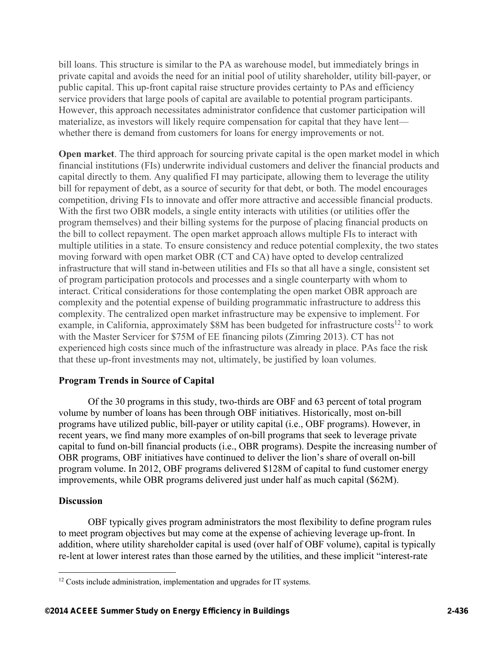bill loans. This structure is similar to the PA as warehouse model, but immediately brings in private capital and avoids the need for an initial pool of utility shareholder, utility bill-payer, or public capital. This up-front capital raise structure provides certainty to PAs and efficiency service providers that large pools of capital are available to potential program participants. However, this approach necessitates administrator confidence that customer participation will materialize, as investors will likely require compensation for capital that they have lent whether there is demand from customers for loans for energy improvements or not.

**Open market**. The third approach for sourcing private capital is the open market model in which financial institutions (FIs) underwrite individual customers and deliver the financial products and capital directly to them. Any qualified FI may participate, allowing them to leverage the utility bill for repayment of debt, as a source of security for that debt, or both. The model encourages competition, driving FIs to innovate and offer more attractive and accessible financial products. With the first two OBR models, a single entity interacts with utilities (or utilities offer the program themselves) and their billing systems for the purpose of placing financial products on the bill to collect repayment. The open market approach allows multiple FIs to interact with multiple utilities in a state. To ensure consistency and reduce potential complexity, the two states moving forward with open market OBR (CT and CA) have opted to develop centralized infrastructure that will stand in-between utilities and FIs so that all have a single, consistent set of program participation protocols and processes and a single counterparty with whom to interact. Critical considerations for those contemplating the open market OBR approach are complexity and the potential expense of building programmatic infrastructure to address this complexity. The centralized open market infrastructure may be expensive to implement. For example, in California, approximately  $$8M$  has been budgeted for infrastructure costs<sup>12</sup> to work with the Master Servicer for \$75M of EE financing pilots (Zimring 2013). CT has not experienced high costs since much of the infrastructure was already in place. PAs face the risk that these up-front investments may not, ultimately, be justified by loan volumes.

### **Program Trends in Source of Capital**

Of the 30 programs in this study, two-thirds are OBF and 63 percent of total program volume by number of loans has been through OBF initiatives. Historically, most on-bill programs have utilized public, bill-payer or utility capital (i.e., OBF programs). However, in recent years, we find many more examples of on-bill programs that seek to leverage private capital to fund on-bill financial products (i.e., OBR programs). Despite the increasing number of OBR programs, OBF initiatives have continued to deliver the lion's share of overall on-bill program volume. In 2012, OBF programs delivered \$128M of capital to fund customer energy improvements, while OBR programs delivered just under half as much capital (\$62M).

### **Discussion**

<u>.</u>

OBF typically gives program administrators the most flexibility to define program rules to meet program objectives but may come at the expense of achieving leverage up-front. In addition, where utility shareholder capital is used (over half of OBF volume), capital is typically re-lent at lower interest rates than those earned by the utilities, and these implicit "interest-rate

<sup>&</sup>lt;sup>12</sup> Costs include administration, implementation and upgrades for IT systems.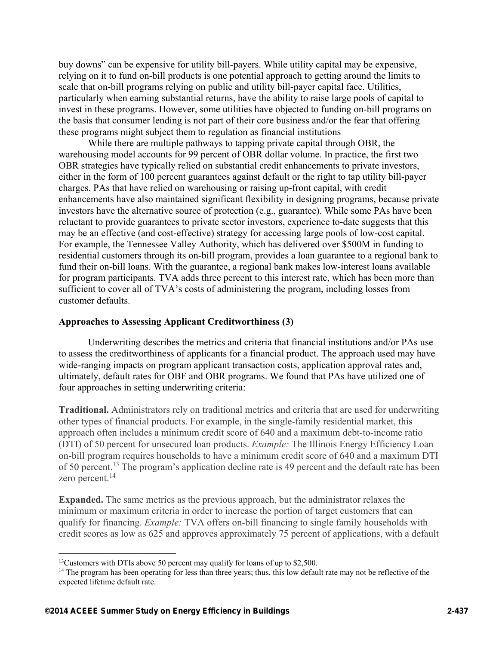buy downs" can be expensive for utility bill-payers. While utility capital may be expensive, relying on it to fund on-bill products is one potential approach to getting around the limits to scale that on-bill programs relying on public and utility bill-payer capital face. Utilities, particularly when earning substantial returns, have the ability to raise large pools of capital to invest in these programs. However, some utilities have objected to funding on-bill programs on the basis that consumer lending is not part of their core business and/or the fear that offering these programs might subject them to regulation as financial institutions

While there are multiple pathways to tapping private capital through OBR, the warehousing model accounts for 99 percent of OBR dollar volume. In practice, the first two OBR strategies have typically relied on substantial credit enhancements to private investors, either in the form of 100 percent guarantees against default or the right to tap utility bill-payer charges. PAs that have relied on warehousing or raising up-front capital, with credit enhancements have also maintained significant flexibility in designing programs, because private investors have the alternative source of protection (e.g., guarantee). While some PAs have been reluctant to provide guarantees to private sector investors, experience to-date suggests that this may be an effective (and cost-effective) strategy for accessing large pools of low-cost capital. For example, the Tennessee Valley Authority, which has delivered over \$500M in funding to residential customers through its on-bill program, provides a loan guarantee to a regional bank to fund their on-bill loans. With the guarantee, a regional bank makes low-interest loans available for program participants. TVA adds three percent to this interest rate, which has been more than sufficient to cover all of TVA's costs of administering the program, including losses from customer defaults.

#### **Approaches to Assessing Applicant Creditworthiness (3)**

Underwriting describes the metrics and criteria that financial institutions and/or PAs use to assess the creditworthiness of applicants for a financial product. The approach used may have wide-ranging impacts on program applicant transaction costs, application approval rates and, ultimately, default rates for OBF and OBR programs. We found that PAs have utilized one of four approaches in setting underwriting criteria:

**Traditional.** Administrators rely on traditional metrics and criteria that are used for underwriting other types of financial products. For example, in the single-family residential market, this approach often includes a minimum credit score of 640 and a maximum debt-to-income ratio (DTI) of 50 percent for unsecured loan products. *Example:* The Illinois Energy Efficiency Loan on-bill program requires households to have a minimum credit score of 640 and a maximum DTI of 50 percent.13 The program's application decline rate is 49 percent and the default rate has been zero percent.<sup>14</sup>

**Expanded.** The same metrics as the previous approach, but the administrator relaxes the minimum or maximum criteria in order to increase the portion of target customers that can qualify for financing. *Example:* TVA offers on-bill financing to single family households with credit scores as low as 625 and approves approximately 75 percent of applications, with a default

 $\overline{a}$ 

<sup>&</sup>lt;sup>13</sup>Customers with DTIs above 50 percent may qualify for loans of up to \$2,500.

<sup>&</sup>lt;sup>14</sup> The program has been operating for less than three years; thus, this low default rate may not be reflective of the expected lifetime default rate.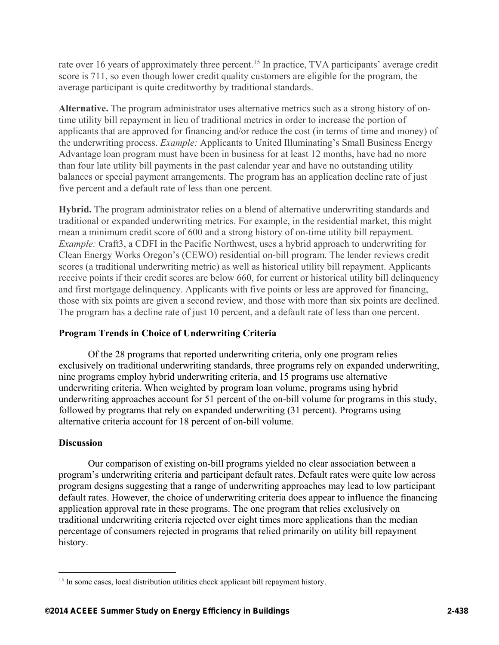rate over 16 years of approximately three percent.<sup>15</sup> In practice, TVA participants' average credit score is 711, so even though lower credit quality customers are eligible for the program, the average participant is quite creditworthy by traditional standards.

**Alternative.** The program administrator uses alternative metrics such as a strong history of ontime utility bill repayment in lieu of traditional metrics in order to increase the portion of applicants that are approved for financing and/or reduce the cost (in terms of time and money) of the underwriting process. *Example:* Applicants to United Illuminating's Small Business Energy Advantage loan program must have been in business for at least 12 months, have had no more than four late utility bill payments in the past calendar year and have no outstanding utility balances or special payment arrangements. The program has an application decline rate of just five percent and a default rate of less than one percent.

**Hybrid.** The program administrator relies on a blend of alternative underwriting standards and traditional or expanded underwriting metrics. For example, in the residential market, this might mean a minimum credit score of 600 and a strong history of on-time utility bill repayment. *Example:* Craft3, a CDFI in the Pacific Northwest, uses a hybrid approach to underwriting for Clean Energy Works Oregon's (CEWO) residential on-bill program. The lender reviews credit scores (a traditional underwriting metric) as well as historical utility bill repayment. Applicants receive points if their credit scores are below 660, for current or historical utility bill delinquency and first mortgage delinquency. Applicants with five points or less are approved for financing, those with six points are given a second review, and those with more than six points are declined. The program has a decline rate of just 10 percent, and a default rate of less than one percent.

### **Program Trends in Choice of Underwriting Criteria**

Of the 28 programs that reported underwriting criteria, only one program relies exclusively on traditional underwriting standards, three programs rely on expanded underwriting, nine programs employ hybrid underwriting criteria, and 15 programs use alternative underwriting criteria. When weighted by program loan volume, programs using hybrid underwriting approaches account for 51 percent of the on-bill volume for programs in this study, followed by programs that rely on expanded underwriting (31 percent). Programs using alternative criteria account for 18 percent of on-bill volume.

### **Discussion**

<u>.</u>

Our comparison of existing on-bill programs yielded no clear association between a program's underwriting criteria and participant default rates. Default rates were quite low across program designs suggesting that a range of underwriting approaches may lead to low participant default rates. However, the choice of underwriting criteria does appear to influence the financing application approval rate in these programs. The one program that relies exclusively on traditional underwriting criteria rejected over eight times more applications than the median percentage of consumers rejected in programs that relied primarily on utility bill repayment history.

<sup>&</sup>lt;sup>15</sup> In some cases, local distribution utilities check applicant bill repayment history.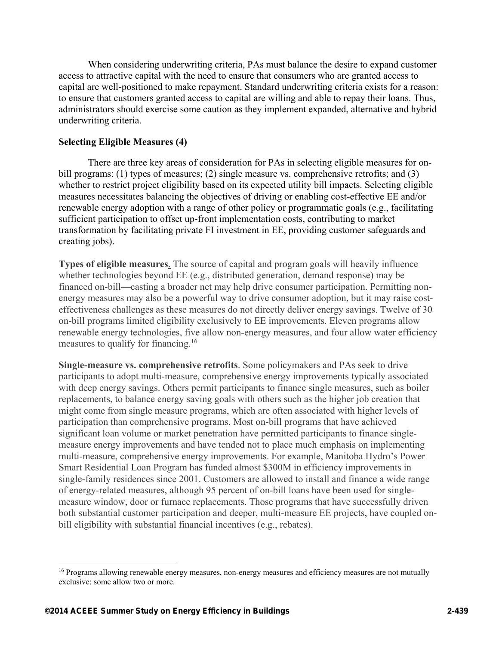When considering underwriting criteria, PAs must balance the desire to expand customer access to attractive capital with the need to ensure that consumers who are granted access to capital are well-positioned to make repayment. Standard underwriting criteria exists for a reason: to ensure that customers granted access to capital are willing and able to repay their loans. Thus, administrators should exercise some caution as they implement expanded, alternative and hybrid underwriting criteria.

#### **Selecting Eligible Measures (4)**

There are three key areas of consideration for PAs in selecting eligible measures for onbill programs: (1) types of measures; (2) single measure vs. comprehensive retrofits; and (3) whether to restrict project eligibility based on its expected utility bill impacts. Selecting eligible measures necessitates balancing the objectives of driving or enabling cost-effective EE and/or renewable energy adoption with a range of other policy or programmatic goals (e.g., facilitating sufficient participation to offset up-front implementation costs, contributing to market transformation by facilitating private FI investment in EE, providing customer safeguards and creating jobs).

**Types of eligible measures**. The source of capital and program goals will heavily influence whether technologies beyond EE (e.g., distributed generation, demand response) may be financed on-bill—casting a broader net may help drive consumer participation. Permitting nonenergy measures may also be a powerful way to drive consumer adoption, but it may raise costeffectiveness challenges as these measures do not directly deliver energy savings. Twelve of 30 on-bill programs limited eligibility exclusively to EE improvements. Eleven programs allow renewable energy technologies, five allow non-energy measures, and four allow water efficiency measures to qualify for financing.<sup>16</sup>

**Single-measure vs. comprehensive retrofits**. Some policymakers and PAs seek to drive participants to adopt multi-measure, comprehensive energy improvements typically associated with deep energy savings. Others permit participants to finance single measures, such as boiler replacements, to balance energy saving goals with others such as the higher job creation that might come from single measure programs, which are often associated with higher levels of participation than comprehensive programs. Most on-bill programs that have achieved significant loan volume or market penetration have permitted participants to finance singlemeasure energy improvements and have tended not to place much emphasis on implementing multi-measure, comprehensive energy improvements. For example, Manitoba Hydro's Power Smart Residential Loan Program has funded almost \$300M in efficiency improvements in single-family residences since 2001. Customers are allowed to install and finance a wide range of energy-related measures, although 95 percent of on-bill loans have been used for singlemeasure window, door or furnace replacements. Those programs that have successfully driven both substantial customer participation and deeper, multi-measure EE projects, have coupled onbill eligibility with substantial financial incentives (e.g., rebates).

1

<sup>&</sup>lt;sup>16</sup> Programs allowing renewable energy measures, non-energy measures and efficiency measures are not mutually exclusive: some allow two or more.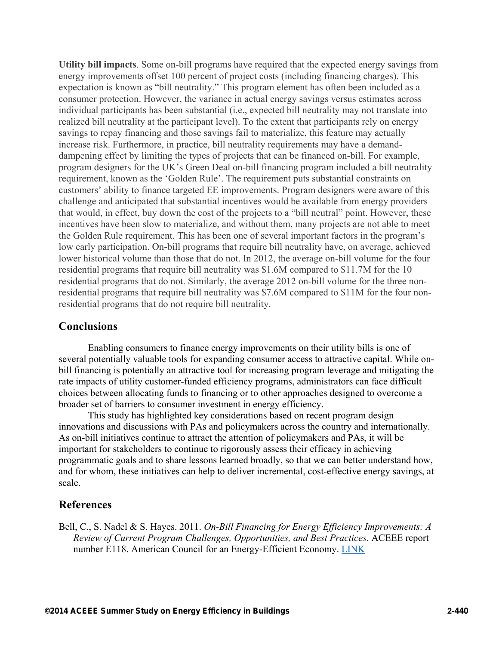**Utility bill impacts**. Some on-bill programs have required that the expected energy savings from energy improvements offset 100 percent of project costs (including financing charges). This expectation is known as "bill neutrality." This program element has often been included as a consumer protection. However, the variance in actual energy savings versus estimates across individual participants has been substantial (i.e., expected bill neutrality may not translate into realized bill neutrality at the participant level). To the extent that participants rely on energy savings to repay financing and those savings fail to materialize, this feature may actually increase risk. Furthermore, in practice, bill neutrality requirements may have a demanddampening effect by limiting the types of projects that can be financed on-bill. For example, program designers for the UK's Green Deal on-bill financing program included a bill neutrality requirement, known as the 'Golden Rule'. The requirement puts substantial constraints on customers' ability to finance targeted EE improvements. Program designers were aware of this challenge and anticipated that substantial incentives would be available from energy providers that would, in effect, buy down the cost of the projects to a "bill neutral" point. However, these incentives have been slow to materialize, and without them, many projects are not able to meet the Golden Rule requirement. This has been one of several important factors in the program's low early participation. On-bill programs that require bill neutrality have, on average, achieved lower historical volume than those that do not. In 2012, the average on-bill volume for the four residential programs that require bill neutrality was \$1.6M compared to \$11.7M for the 10 residential programs that do not. Similarly, the average 2012 on-bill volume for the three nonresidential programs that require bill neutrality was \$7.6M compared to \$11M for the four nonresidential programs that do not require bill neutrality.

### **Conclusions**

Enabling consumers to finance energy improvements on their utility bills is one of several potentially valuable tools for expanding consumer access to attractive capital. While onbill financing is potentially an attractive tool for increasing program leverage and mitigating the rate impacts of utility customer-funded efficiency programs, administrators can face difficult choices between allocating funds to financing or to other approaches designed to overcome a broader set of barriers to consumer investment in energy efficiency.

This study has highlighted key considerations based on recent program design innovations and discussions with PAs and policymakers across the country and internationally. As on-bill initiatives continue to attract the attention of policymakers and PAs, it will be important for stakeholders to continue to rigorously assess their efficacy in achieving programmatic goals and to share lessons learned broadly, so that we can better understand how, and for whom, these initiatives can help to deliver incremental, cost-effective energy savings, at scale.

## **References**

Bell, C., S. Nadel & S. Hayes. 2011. *On-Bill Financing for Energy Efficiency Improvements: A Review of Current Program Challenges, Opportunities, and Best Practices*. ACEEE report number E118. American Council for an Energy-Efficient Economy. LINK